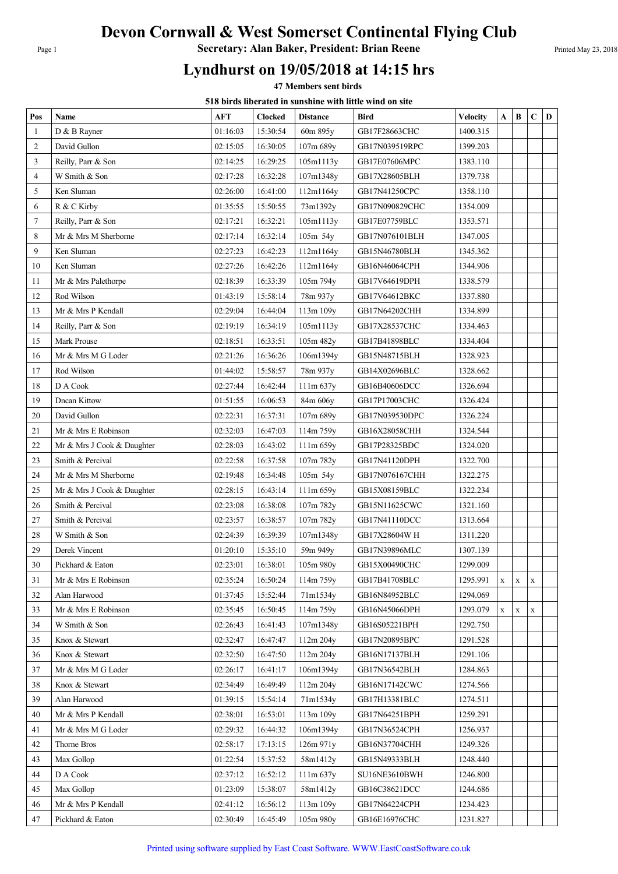## Devon Cornwall & West Somerset Continental Flying Club

Page 1 **Secretary: Alan Baker, President: Brian Reene** Printed May 23, 2018

## Lyndhurst on 19/05/2018 at 14:15 hrs

47 Members sent birds

518 birds liberated in sunshine with little wind on site

| Pos | Name                       | AFT      | <b>Clocked</b> | o on as novi atva in sansinile with nelle will on si<br><b>Distance</b> | <b>Bird</b>    | <b>Velocity</b> | A | B           | $\mathbf C$ | D |
|-----|----------------------------|----------|----------------|-------------------------------------------------------------------------|----------------|-----------------|---|-------------|-------------|---|
| 1   | D & B Rayner               | 01:16:03 | 15:30:54       | 60m 895y                                                                | GB17F28663CHC  | 1400.315        |   |             |             |   |
| 2   | David Gullon               | 02:15:05 | 16:30:05       | 107m 689y                                                               | GB17N039519RPC | 1399.203        |   |             |             |   |
| 3   | Reilly, Parr & Son         | 02:14:25 | 16:29:25       | 105m1113y                                                               | GB17E07606MPC  | 1383.110        |   |             |             |   |
| 4   | W Smith & Son              | 02:17:28 | 16:32:28       | 107m1348y                                                               | GB17X28605BLH  | 1379.738        |   |             |             |   |
| 5   | Ken Sluman                 | 02:26:00 | 16:41:00       | 112m1164y                                                               | GB17N41250CPC  | 1358.110        |   |             |             |   |
| 6   | R & C Kirby                | 01:35:55 | 15:50:55       | 73m1392y                                                                | GB17N090829CHC | 1354.009        |   |             |             |   |
| 7   | Reilly, Parr & Son         | 02:17:21 | 16:32:21       | 105m1113y                                                               | GB17E07759BLC  | 1353.571        |   |             |             |   |
| 8   | Mr & Mrs M Sherborne       | 02:17:14 | 16:32:14       | 105m 54y                                                                | GB17N076101BLH | 1347.005        |   |             |             |   |
| 9   | Ken Sluman                 | 02:27:23 | 16:42:23       | 112m1164y                                                               | GB15N46780BLH  | 1345.362        |   |             |             |   |
| 10  | Ken Sluman                 | 02:27:26 | 16:42:26       | 112m1164y                                                               | GB16N46064CPH  | 1344.906        |   |             |             |   |
| 11  | Mr & Mrs Palethorpe        | 02:18:39 | 16:33:39       | 105m 794y                                                               | GB17V64619DPH  | 1338.579        |   |             |             |   |
| 12  | Rod Wilson                 | 01:43:19 | 15:58:14       | 78m 937y                                                                | GB17V64612BKC  | 1337.880        |   |             |             |   |
| 13  | Mr & Mrs P Kendall         | 02:29:04 | 16:44:04       | 113m 109y                                                               | GB17N64202CHH  | 1334.899        |   |             |             |   |
| 14  | Reilly, Parr & Son         | 02:19:19 | 16:34:19       | 105m1113y                                                               | GB17X28537CHC  | 1334.463        |   |             |             |   |
| 15  | Mark Prouse                | 02:18:51 | 16:33:51       | 105m 482y                                                               | GB17B41898BLC  | 1334.404        |   |             |             |   |
| 16  | Mr & Mrs M G Loder         | 02:21:26 | 16:36:26       | 106m1394y                                                               | GB15N48715BLH  | 1328.923        |   |             |             |   |
| 17  | Rod Wilson                 | 01:44:02 | 15:58:57       | 78m 937y                                                                | GB14X02696BLC  | 1328.662        |   |             |             |   |
| 18  | D A Cook                   | 02:27:44 | 16:42:44       | $111m\,637y$                                                            | GB16B40606DCC  | 1326.694        |   |             |             |   |
| 19  | Dncan Kittow               | 01:51:55 | 16:06:53       | 84m 606y                                                                | GB17P17003CHC  | 1326.424        |   |             |             |   |
| 20  | David Gullon               | 02:22:31 | 16:37:31       | 107m 689y                                                               | GB17N039530DPC | 1326.224        |   |             |             |   |
| 21  | Mr & Mrs E Robinson        | 02:32:03 | 16:47:03       | 114m 759y                                                               | GB16X28058CHH  | 1324.544        |   |             |             |   |
| 22  | Mr & Mrs J Cook & Daughter | 02:28:03 | 16:43:02       | 111m 659y                                                               | GB17P28325BDC  | 1324.020        |   |             |             |   |
| 23  | Smith & Percival           | 02:22:58 | 16:37:58       | 107m 782y                                                               | GB17N41120DPH  | 1322.700        |   |             |             |   |
| 24  | Mr & Mrs M Sherborne       | 02:19:48 | 16:34:48       | 105m 54y                                                                | GB17N076167CHH | 1322.275        |   |             |             |   |
| 25  | Mr & Mrs J Cook & Daughter | 02:28:15 | 16:43:14       | 111m 659y                                                               | GB15X08159BLC  | 1322.234        |   |             |             |   |
| 26  | Smith & Percival           | 02:23:08 | 16:38:08       | 107m 782y                                                               | GB15N11625CWC  | 1321.160        |   |             |             |   |
| 27  | Smith & Percival           | 02:23:57 | 16:38:57       | 107m 782y                                                               | GB17N41110DCC  | 1313.664        |   |             |             |   |
| 28  | W Smith & Son              | 02:24:39 | 16:39:39       | 107m1348y                                                               | GB17X28604W H  | 1311.220        |   |             |             |   |
| 29  | Derek Vincent              | 01:20:10 | 15:35:10       | 59m 949y                                                                | GB17N39896MLC  | 1307.139        |   |             |             |   |
| 30  | Pickhard & Eaton           | 02:23:01 | 16:38:01       | 105m 980y                                                               | GB15X00490CHC  | 1299.009        |   |             |             |   |
| 31  | Mr & Mrs E Robinson        | 02:35:24 | 16:50:24       | 114m 759y                                                               | GB17B41708BLC  | 1295.991        | X | X           | X           |   |
| 32  | Alan Harwood               | 01:37:45 | 15:52:44       | 71m1534y                                                                | GB16N84952BLC  | 1294.069        |   |             |             |   |
| 33  | Mr & Mrs E Robinson        | 02:35:45 | 16:50:45       | 114m 759y                                                               | GB16N45066DPH  | 1293.079        | X | $\mathbf X$ | X           |   |
| 34  | W Smith & Son              | 02:26:43 | 16:41:43       | 107m1348y                                                               | GB16S05221BPH  | 1292.750        |   |             |             |   |
| 35  | Knox & Stewart             | 02:32:47 | 16:47:47       | 112m 204y                                                               | GB17N20895BPC  | 1291.528        |   |             |             |   |
| 36  | Knox & Stewart             | 02:32:50 | 16:47:50       | 112m 204y                                                               | GB16N17137BLH  | 1291.106        |   |             |             |   |
| 37  | Mr & Mrs M G Loder         | 02:26:17 | 16:41:17       | 106m1394y                                                               | GB17N36542BLH  | 1284.863        |   |             |             |   |
| 38  | Knox & Stewart             | 02:34:49 | 16:49:49       | 112m 204y                                                               | GB16N17142CWC  | 1274.566        |   |             |             |   |
| 39  | Alan Harwood               | 01:39:15 | 15:54:14       | 71m1534y                                                                | GB17H13381BLC  | 1274.511        |   |             |             |   |
| 40  | Mr & Mrs P Kendall         | 02:38:01 | 16:53:01       | 113m 109y                                                               | GB17N64251BPH  | 1259.291        |   |             |             |   |
| 41  | Mr & Mrs M G Loder         | 02:29:32 | 16:44:32       | 106m1394y                                                               | GB17N36524CPH  | 1256.937        |   |             |             |   |
| 42  | Thorne Bros                | 02:58:17 | 17:13:15       | 126m 971y                                                               | GB16N37704CHH  | 1249.326        |   |             |             |   |
| 43  | Max Gollop                 | 01:22:54 | 15:37:52       | 58m1412y                                                                | GB15N49333BLH  | 1248.440        |   |             |             |   |
| 44  | D A Cook                   | 02:37:12 | 16:52:12       | $111m\,637y$                                                            | SU16NE3610BWH  | 1246.800        |   |             |             |   |
| 45  | Max Gollop                 | 01:23:09 | 15:38:07       | 58m1412y                                                                | GB16C38621DCC  | 1244.686        |   |             |             |   |
| 46  | Mr & Mrs P Kendall         | 02:41:12 | 16:56:12       | 113m 109y                                                               | GB17N64224CPH  | 1234.423        |   |             |             |   |
| 47  | Pickhard & Eaton           | 02:30:49 | 16:45:49       | 105m 980y                                                               | GB16E16976CHC  | 1231.827        |   |             |             |   |